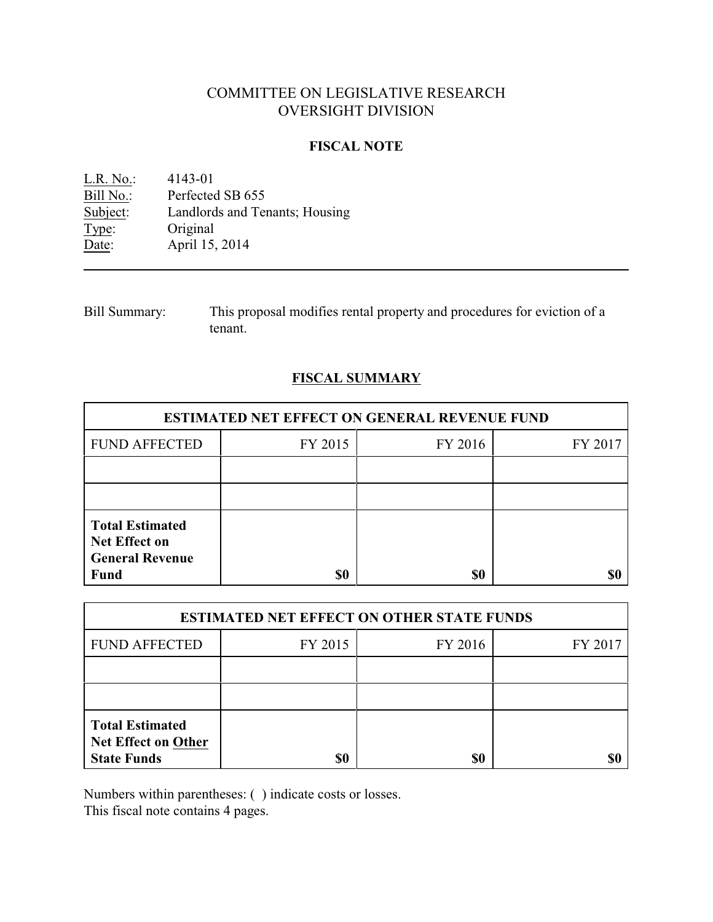# COMMITTEE ON LEGISLATIVE RESEARCH OVERSIGHT DIVISION

## **FISCAL NOTE**

<u>L.R. No.</u>: 4143-01<br>Bill No.: Perfected Bill No.: Perfected SB 655<br>Subject: Landlords and Terminal Landlords and Tenants; Housing Type: Original Date: April 15, 2014

Bill Summary: This proposal modifies rental property and procedures for eviction of a tenant.

# **FISCAL SUMMARY**

| <b>ESTIMATED NET EFFECT ON GENERAL REVENUE FUND</b>                                     |         |         |         |  |
|-----------------------------------------------------------------------------------------|---------|---------|---------|--|
| <b>FUND AFFECTED</b>                                                                    | FY 2015 | FY 2016 | FY 2017 |  |
|                                                                                         |         |         |         |  |
|                                                                                         |         |         |         |  |
| <b>Total Estimated</b><br><b>Net Effect on</b><br><b>General Revenue</b><br><b>Fund</b> | \$0     | \$0     |         |  |

| <b>ESTIMATED NET EFFECT ON OTHER STATE FUNDS</b>                           |         |         |         |  |
|----------------------------------------------------------------------------|---------|---------|---------|--|
| <b>FUND AFFECTED</b>                                                       | FY 2015 | FY 2016 | FY 2017 |  |
|                                                                            |         |         |         |  |
|                                                                            |         |         |         |  |
| <b>Total Estimated</b><br><b>Net Effect on Other</b><br><b>State Funds</b> | \$0     | \$0     |         |  |

Numbers within parentheses: ( ) indicate costs or losses.

This fiscal note contains 4 pages.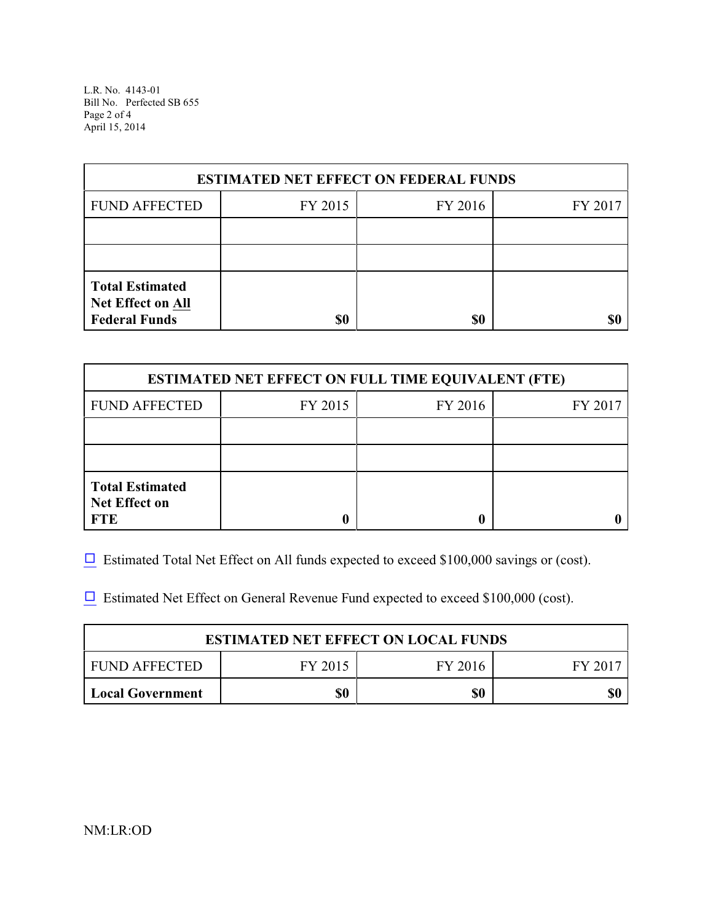L.R. No. 4143-01 Bill No. Perfected SB 655 Page 2 of 4 April 15, 2014

| <b>ESTIMATED NET EFFECT ON FEDERAL FUNDS</b>                        |         |         |         |  |
|---------------------------------------------------------------------|---------|---------|---------|--|
| <b>FUND AFFECTED</b>                                                | FY 2015 | FY 2016 | FY 2017 |  |
|                                                                     |         |         |         |  |
|                                                                     |         |         |         |  |
| <b>Total Estimated</b><br>Net Effect on All<br><b>Federal Funds</b> | \$0     | \$0     |         |  |

| <b>ESTIMATED NET EFFECT ON FULL TIME EQUIVALENT (FTE)</b>    |                    |  |  |  |  |
|--------------------------------------------------------------|--------------------|--|--|--|--|
| <b>FUND AFFECTED</b>                                         | FY 2015<br>FY 2016 |  |  |  |  |
|                                                              |                    |  |  |  |  |
|                                                              |                    |  |  |  |  |
| <b>Total Estimated</b><br><b>Net Effect on</b><br><b>FTE</b> |                    |  |  |  |  |

 $\Box$  Estimated Total Net Effect on All funds expected to exceed \$100,000 savings or (cost).

 $\Box$  Estimated Net Effect on General Revenue Fund expected to exceed \$100,000 (cost).

| <b>ESTIMATED NET EFFECT ON LOCAL FUNDS</b> |         |         |       |  |
|--------------------------------------------|---------|---------|-------|--|
| FUND AFFECTED                              | FY 2015 | FY 2016 | FV 20 |  |
| <b>Local Government</b>                    | \$0     | \$0     |       |  |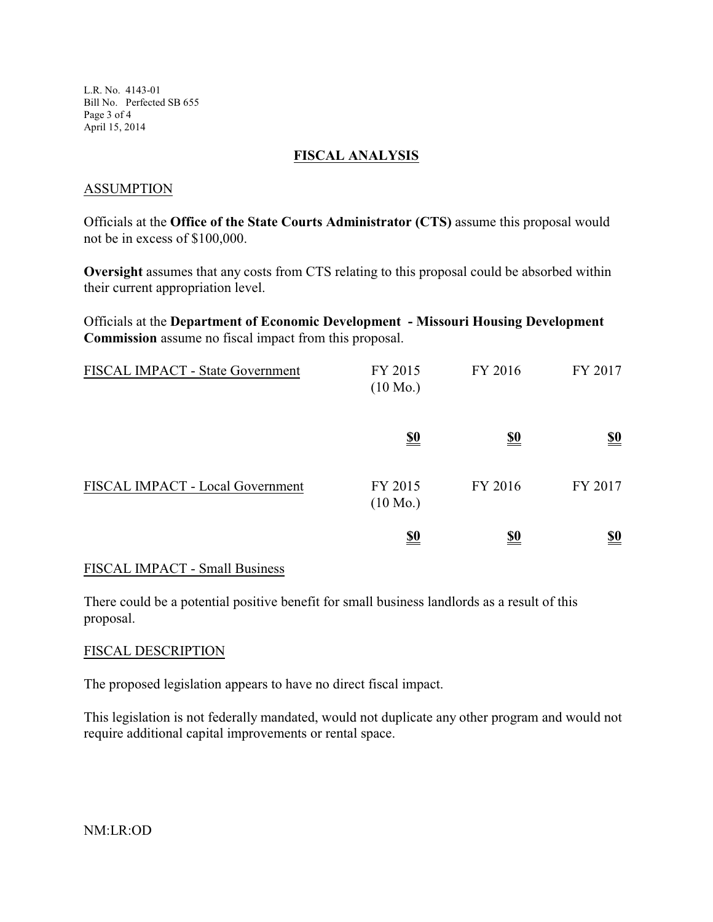L.R. No. 4143-01 Bill No. Perfected SB 655 Page 3 of 4 April 15, 2014

#### **FISCAL ANALYSIS**

#### ASSUMPTION

Officials at the **Office of the State Courts Administrator (CTS)** assume this proposal would not be in excess of \$100,000.

**Oversight** assumes that any costs from CTS relating to this proposal could be absorbed within their current appropriation level.

Officials at the **Department of Economic Development - Missouri Housing Development Commission** assume no fiscal impact from this proposal.

| FISCAL IMPACT - State Government | FY 2015<br>$(10 \text{ Mo.})$ | FY 2016    | FY 2017    |
|----------------------------------|-------------------------------|------------|------------|
|                                  | <u>\$0</u>                    | <u>\$0</u> | <u>\$0</u> |
| FISCAL IMPACT - Local Government | FY 2015<br>$(10 \text{ Mo.})$ | FY 2016    | FY 2017    |
|                                  | <u>\$0</u>                    | <u>\$0</u> | <u>\$0</u> |

## FISCAL IMPACT - Small Business

There could be a potential positive benefit for small business landlords as a result of this proposal.

## FISCAL DESCRIPTION

The proposed legislation appears to have no direct fiscal impact.

This legislation is not federally mandated, would not duplicate any other program and would not require additional capital improvements or rental space.